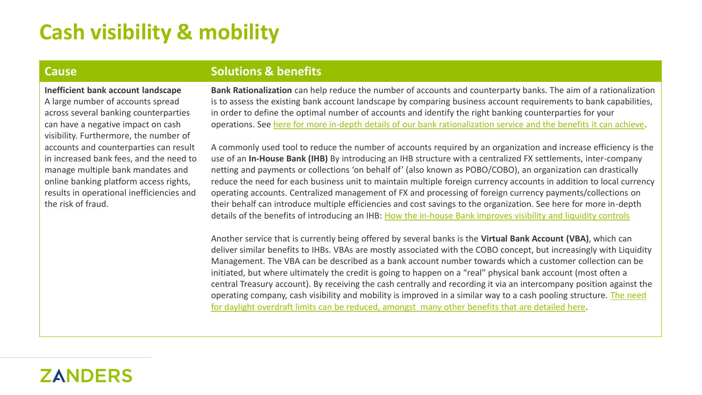# **Cash visibility & mobility**

**Inefficient bank account landscape**  A large number of accounts spread

across several banking counterparties can have a negative impact on cash visibility. Furthermore, the number of accounts and counterparties can result in increased bank fees, and the need to manage multiple bank mandates and online banking platform access rights, results in operational inefficiencies and the risk of fraud.

### **Cause <b>Solutions & benefits**

**Bank Rationalization** can help reduce the number of accounts and counterparty banks. The aim of a rationalization is to assess the existing bank account landscape by comparing business account requirements to bank capabilities, in order to define the optimal number of accounts and identify the right banking counterparties for your operations. See [here for more in-depth details of our bank rationalization service and the benefits it can achieve.](https://zanders.eu/en/service/bank-rationalization-rfps-for-corporates/)

A commonly used tool to reduce the number of accounts required by an organization and increase efficiency is the use of an **In-House Bank (IHB)** By introducing an IHB structure with a centralized FX settlements, inter-company netting and payments or collections 'on behalf of' (also known as POBO/COBO), an organization can drastically reduce the need for each business unit to maintain multiple foreign currency accounts in addition to local currency operating accounts. Centralized management of FX and processing of foreign currency payments/collections on their behalf can introduce multiple efficiencies and cost savings to the organization. See here for more in-depth details of the benefits of introducing an IHB: [How the in-house Bank improves visibility and liquidity controls](https://zanders.eu/en/latest-insights/how-the-in-house-bank-improves-visibility-and-liquidity-controls/)

Another service that is currently being offered by several banks is the **Virtual Bank Account (VBA)**, which can deliver similar benefits to IHBs. VBAs are mostly associated with the COBO concept, but increasingly with Liquidity Management. The VBA can be described as a bank account number towards which a customer collection can be initiated, but where ultimately the credit is going to happen on a "real" physical bank account (most often a central Treasury account). By receiving the cash centrally and recording it via an intercompany position against the [operating company, cash visibility and mobility is improved in a similar way to a cash pooling structure. The need](https://zanders.eu/en/latest-insights/why-would-a-treasury-implement-virtual-accounts/) for daylight overdraft limits can be reduced, amongst many other benefits that are detailed here.

## **ZANDERS**